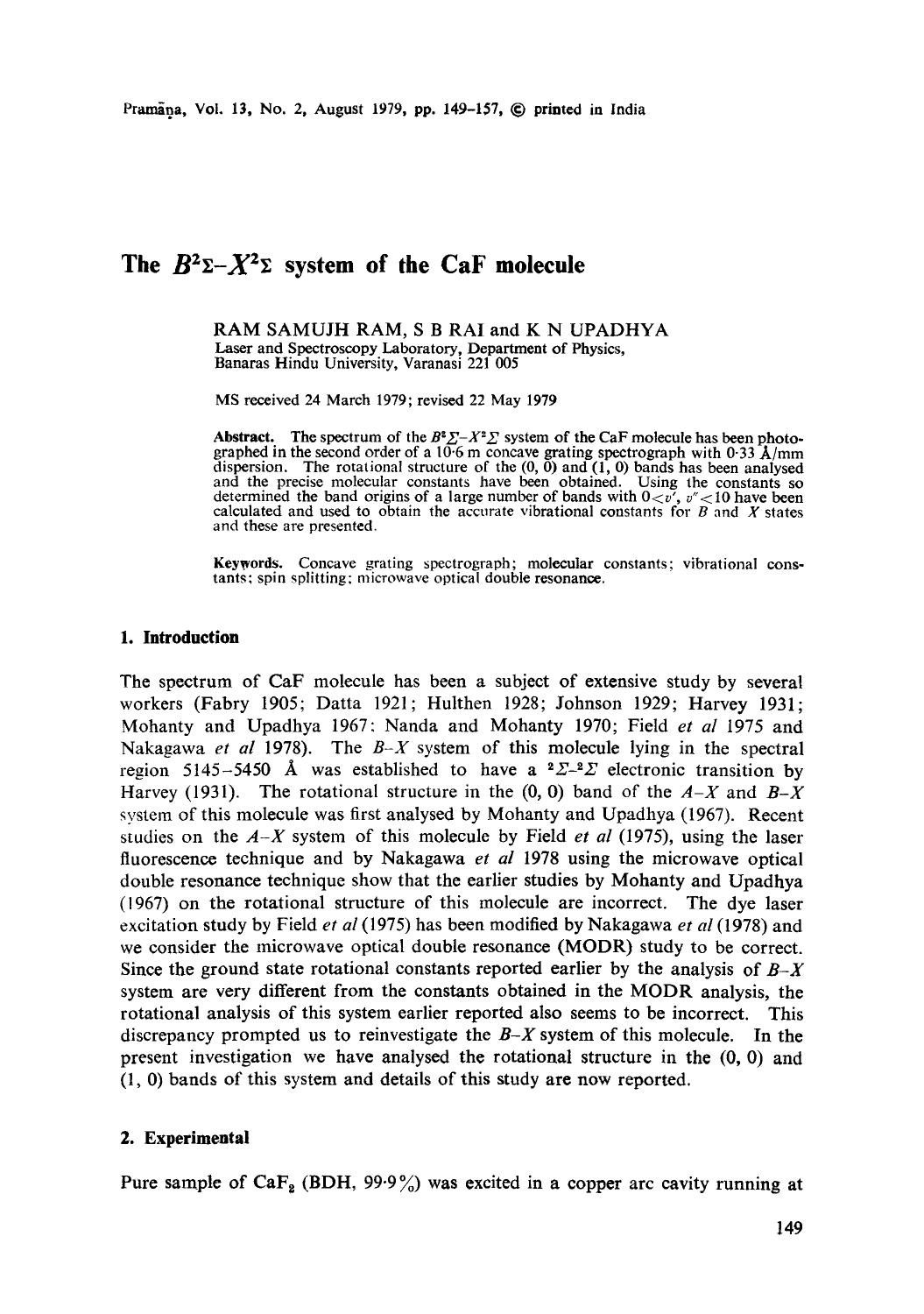# The  $B^2\Sigma - X^2\Sigma$  system of the CaF molecule

RAM SAMUJH RAM, S B RAI and K N UPADHYA Laser and Spectroscopy Laboratory, Department of Physics, Banaras Hindu University, Varanasi 221 005

MS received 24 March 1979; revised 22 May 1979

Abstract. The spectrum of the  $B^2 \Sigma - X^2 \Sigma$  system of the CaF molecule has been photographed in the second order of a 10.6 m concave grating spectrograph with 0.33  $\bar{A}/mm$ dispersion. The rotational structure of the (0, 0) and (1, 0) bands has been analysed and the precise molecular constants have been obtained. Using the constants so determined the band origins of a large number of bands with  $0 < v'$ ,  $v'' < 10$  have been calculated and used to obtain the accurate vibrational constants for  $B$  and  $X$  states and these are presented.

Keywords. Concave grating spectrograph; molecular constants; vibrational constants; spin splitting: microwave optical double resonance.

## **1. Introduction**

The spectrum of CaF molecule has been a subject of extensive study by several workers (Fabry 1905; Datta 1921; Hulthen 1928; Johnson 1929; Harvey 1931; Mohanty and Upadhya 1967: Nanda and Mohanty 1970; Field *et al* 1975 and Nakagawa *et al* 1978). The  $B-X$  system of this molecule lying in the spectral region 5145-5450 Å was established to have a  ${}^{2}\Sigma^{-2}\Sigma$  electronic transition by Harvey (1931). The rotational structure in the  $(0, 0)$  band of the  $A-X$  and  $B-X$ system of this molecule was first analysed by Mohanty and Upadhya (1967). Recent studies on the *A-X* system of this molecule by Field *et al* (1975), using the laser fluorescence technique and by Nakagawa *et al* 1978 using the microwave optical double resonance technique show that the earlier studies by Mohanty and Upadhya (1967) on the rotational structure of this molecule are incorrect. The dye laser excitation study by Field *et al* (1975) has been modified by Nakagawa *et al* (1978) and we consider the microwave optical double resonance (MODR) study to be correct. Since the ground state rotational constants reported earlier by the analysis of *B-X*  system are very different from the constants obtained in the MODR analysis, the rotational analysis of this system earlier reported also seems to be incorrect. This discrepancy prompted us to reinvestigate the *B-X* system of this molecule. In the present investigation we have analysed the rotational structure in the (0, 0) and (1, 0) bands of this system and details of this study are now reported.

### **2. Experimental**

Pure sample of CaF<sub>2</sub> (BDH, 99.9%) was excited in a copper arc cavity running at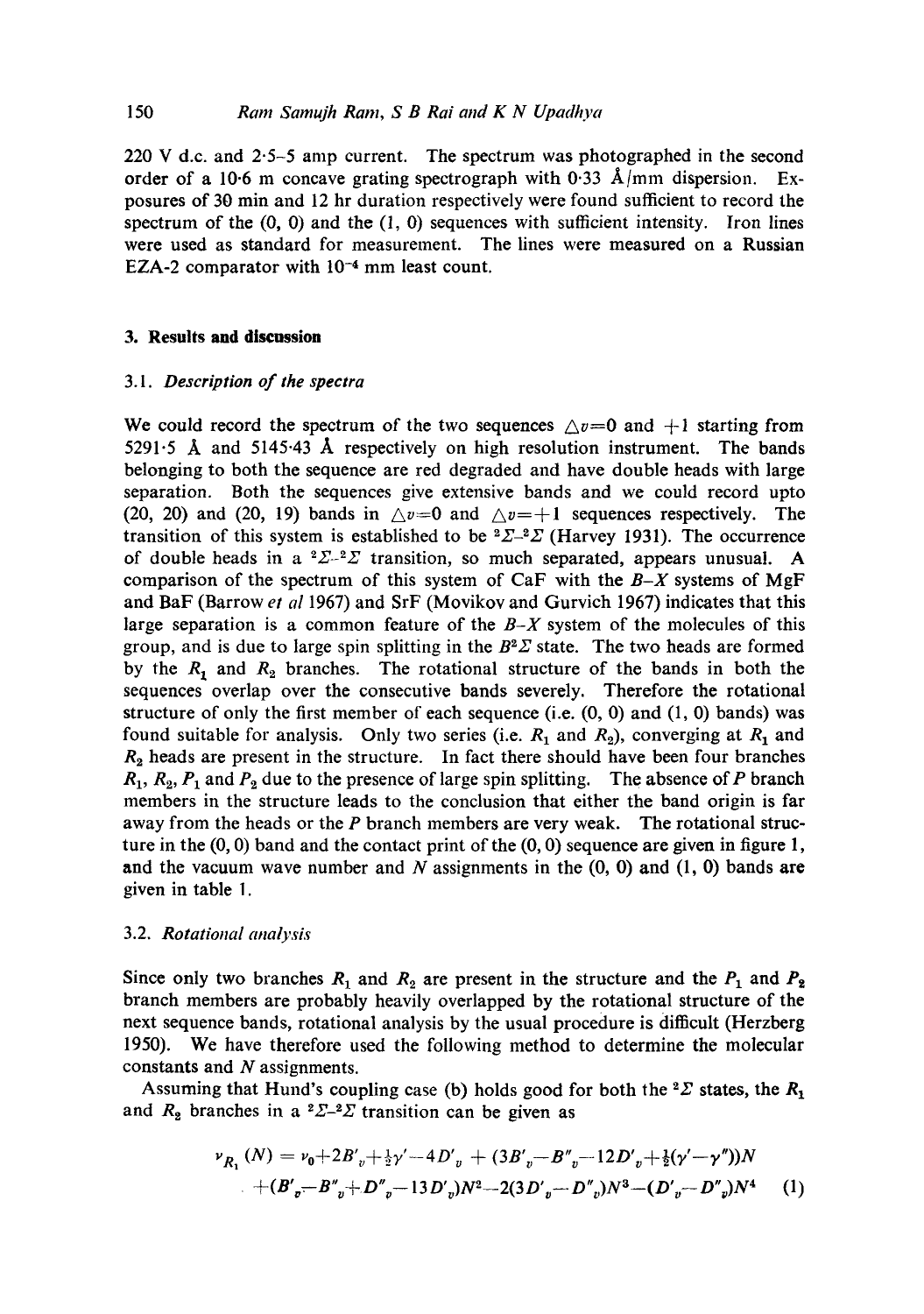220 V d.c. and 2.5-5 amp current. The spectrum was photographed in the second order of a 10.6 m concave grating spectrograph with 0.33  $\AA$ /mm dispersion. Exposures of 30 min and 12 hr duration respectively were found sufficient to record the spectrum of the  $(0, 0)$  and the  $(1, 0)$  sequences with sufficient intensity. Iron lines were used as standard for measurement. The lines were measured on a Russian EZA-2 comparator with  $10^{-4}$  mm least count.

### **3. Results and discussion**

### *3.1. Description of the spectra*

We could record the spectrum of the two sequences  $\triangle v=0$  and  $+1$  starting from 5291.5 Å and 5145.43 Å respectively on high resolution instrument. The bands belonging to both the sequence are red degraded and have double heads with large separation. Both the sequences give extensive bands and we could record upto (20, 20) and (20, 19) bands in  $\triangle v = 0$  and  $\triangle v = +1$  sequences respectively. The transition of this system is established to be  ${}^{2}\Sigma_{-}{}^{2}\Sigma$  (Harvey 1931). The occurrence of double heads in a  ${}^{2}\Sigma_{-}{}^{2}\Sigma$  transition, so much separated, appears unusual. A comparison of the spectrum of this system of CaF with the *B-X* systems of MgF and BaF (Barrow *et al* 1967) and SrF (Movikov and Gurvich 1967) indicates that this large separation is a common feature of the *B-X* system of the molecules of this group, and is due to large spin splitting in the  $B^2\Sigma$  state. The two heads are formed by the  $R_1$  and  $R_2$  branches. The rotational structure of the bands in both the sequences overlap over the consecutive bands severely. Therefore the rotational structure of only the first member of each sequence (i.e.  $(0, 0)$  and  $(1, 0)$  bands) was found suitable for analysis. Only two series (i.e.  $R_1$  and  $R_2$ ), converging at  $R_1$  and  $R<sub>2</sub>$  heads are present in the structure. In fact there should have been four branches  $R_1, R_2, P_1$  and  $P_2$  due to the presence of large spin splitting. The absence of P branch members in the structure leads to the conclusion that either the band origin is far away from the heads or the  $P$  branch members are very weak. The rotational structure in the  $(0, 0)$  band and the contact print of the  $(0, 0)$  sequence are given in figure 1, and the vacuum wave number and N assignments in the  $(0, 0)$  and  $(1, 0)$  bands are given in table 1.

# 3.2. *Rotational analysis*

Since only two branches  $R_1$  and  $R_2$  are present in the structure and the  $P_1$  and  $P_2$ branch members are probably heavily overlapped by the rotational structure of the next sequence bands, rotational analysis by the usual procedure is difficult (Herzberg 1950). We have therefore used the following method to determine the molecular constants and N assignments.

Assuming that Hund's coupling case (b) holds good for both the  ${}^2\Sigma$  states, the  $R_1$ and  $R_2$  branches in a <sup>2</sup> $\Sigma$ -<sup>2</sup> $\Sigma$  transition can be given as

$$
\nu_{R_1}(N) = \nu_0 + 2B'_{v} + \frac{1}{2}\gamma' - 4D'_{v} + (3B'_{v} - B''_{v} - 12D'_{v} + \frac{1}{2}(\gamma' - \gamma''))N
$$
  
+  $(B'_{v} - B''_{v} + D''_{v} - 13D'_{v})N^2 - 2(3D'_{v} - D''_{v})N^3 - (D'_{v} - D''_{v})N^4$  (1)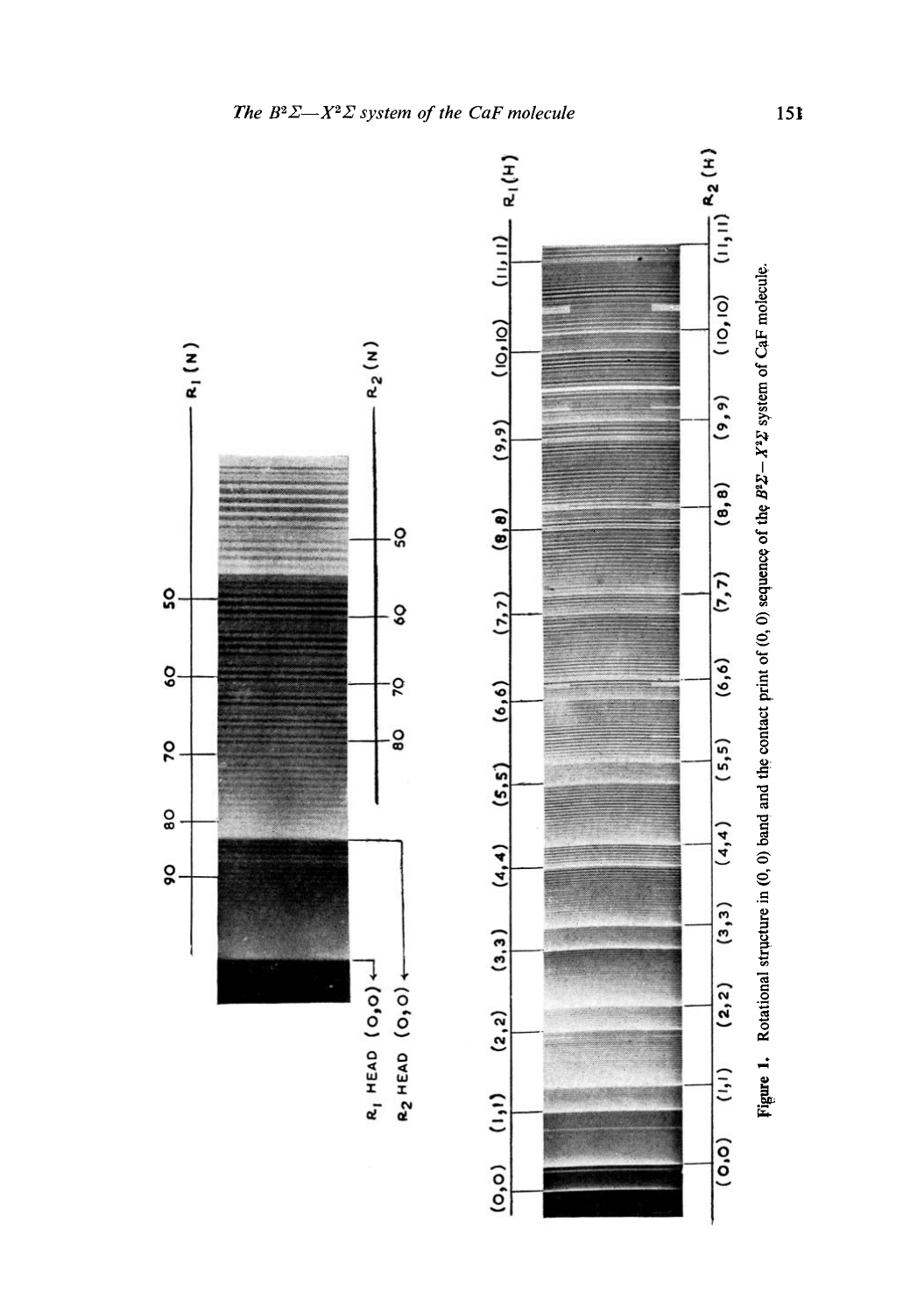

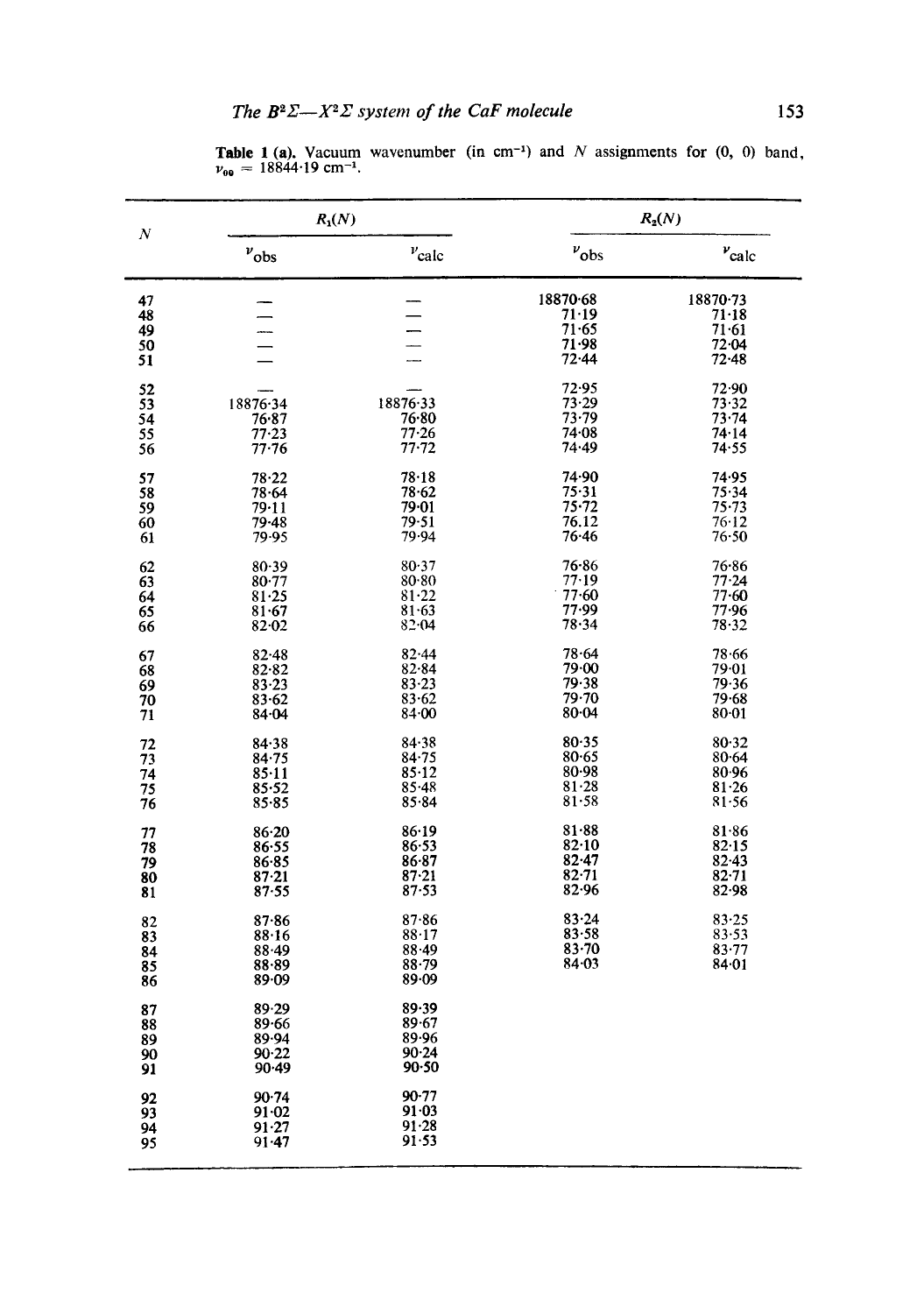**Table 1 (a).** Vacuum wavenumber (in cm<sup>-1</sup>) and N assignments for  $(0, 0)$  band,  $v_{00} = 18844.19$  cm<sup>-1</sup>.

|                            | $R_1(N)$                                                  |                                                       | $R_2(N)$                                          |                                                          |
|----------------------------|-----------------------------------------------------------|-------------------------------------------------------|---------------------------------------------------|----------------------------------------------------------|
| $\boldsymbol{N}$           | $v_{\rm obs}$                                             | $v_{\rm calc}$                                        | $v_{\rm obs}$                                     | $\nu_{\rm calc}$                                         |
| 47<br>48<br>49<br>50<br>51 |                                                           | $\overline{\phantom{0}}$<br>-----                     | 18870.68<br>71.19<br>71.65<br>71.98<br>72.44      | 18870-73<br>$71 - 18$<br>$71 - 61$<br>72.04<br>$72 - 48$ |
| 52<br>53<br>54<br>55<br>56 | 18876.34<br>76.87<br>$77 - 23$<br>$77 - 76$               | 18876.33<br>76∙80<br>77.26<br>$77 - 72$               | 72.95<br>73.29<br>$73 - 79$<br>74.08<br>74.49     | 72.90<br>73.32<br>$73 - 74$<br>74.14<br>74.55            |
| 57<br>58<br>59<br>60<br>61 | $78 - 22$<br>78.64<br>79.11<br>$79 - 48$<br>79.95         | 78.18<br>78.62<br>79.01<br>79.51<br>79.94             | 74.90<br>75.31<br>$75 - 72$<br>76.12<br>76.46     | 74.95<br>75.34<br>$75 - 73$<br>76.12<br>76.50            |
| 62<br>63<br>64<br>65<br>66 | 80.39<br>$80 - 77$<br>81.25<br>$81 - 67$<br>$82 - 02$     | 80.37<br>80.80<br>81.22<br>$81 - 63$<br>82.04         | $76 - 86$<br>77.19<br>77.60<br>77.99<br>78.34     | 76.86<br>77.24<br>77.60<br>77.96<br>78.32                |
| 67<br>68<br>69<br>70<br>71 | $82 - 48$<br>82.82<br>$83 - 23$<br>$83 - 62$<br>$84 - 04$ | $82 - 44$<br>82.84<br>$83 - 23$<br>83.62<br>84.00     | 78.64<br>79.00<br>79.38<br>79.70<br>80.04         | 78.66<br>79.01<br>79.36<br>79.68<br>$80 - 01$            |
| 72<br>73<br>74<br>75<br>76 | 84.38<br>84.75<br>$85 - 11$<br>85.52<br>$85 - 85$         | 84.38<br>84.75<br>85.12<br>$85 - 48$<br>85.84         | 80.35<br>80.65<br>80.98<br>$81 - 28$<br>81.58     | 80.32<br>$80 - 64$<br>80.96<br>$81 - 26$<br>81.56        |
| 77<br>78<br>79<br>80<br>81 | $86 - 20$<br>86.55<br>86.85<br>$87 - 21$<br>87.55         | 86.19<br>86.53<br>$86 - 87$<br>$87 - 21$<br>$87 - 53$ | 81.88<br>82.10<br>$82 - 47$<br>$82 - 71$<br>82.96 | 81.86<br>82.15<br>$82 - 43$<br>$82 - 71$<br>82.98        |
| 82<br>83<br>84<br>85<br>86 | $87 - 86$<br>88.16<br>88.49<br>88.89<br>89.09             | 87.86<br>88.17<br>$88 - 49$<br>$88 - 79$<br>89.09     | 83.24<br>83.58<br>$83 - 70$<br>84.03              | 83.25<br>83.53<br>83.77<br>84.01                         |
| 87<br>88<br>89<br>90<br>91 | 89.29<br>89.66<br>89.94<br>90.22<br>90.49                 | 89.39<br>$89 - 67$<br>89.96<br>90.24<br>90.50         |                                                   |                                                          |
| 92<br>93<br>94<br>95       | 90.74<br>91.02<br>91.27<br>$91 - 47$                      | $90 - 77$<br>91.03<br>91.28<br>91.53                  |                                                   |                                                          |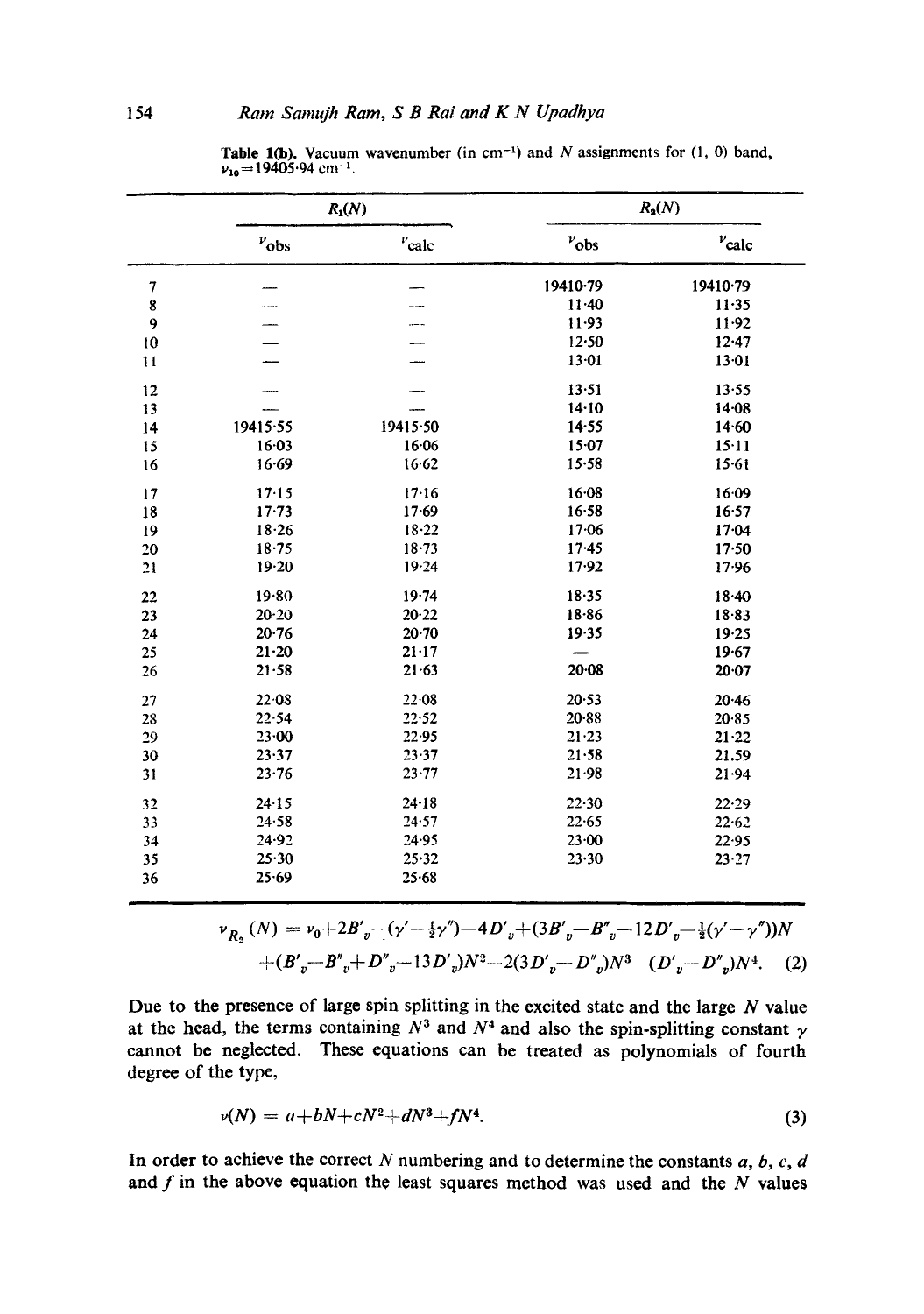|               | $R_1(N)$  |                   | $R_2(N)$      |                   |
|---------------|-----------|-------------------|---------------|-------------------|
|               | $v_{obs}$ | $v_{\text{calc}}$ | $v_{\rm obs}$ | $v_{\text{calc}}$ |
| 7             |           |                   | 19410-79      | 19410.79          |
| 8             | ----      |                   | 11.40         | $11 - 35$         |
| 9             |           |                   | $11 - 93$     | $11 - 92$         |
| 10            |           |                   | 12.50         | $12 - 47$         |
| $\mathbf{11}$ |           |                   | 13.01         | 13.01             |
| 12            |           |                   | 13.51         | 13.55             |
| 13            |           |                   | 14.10         | $14 - 08$         |
| 14            | 19415.55  | 19415.50          | 14.55         | 14.60             |
| 15            | 16.03     | 16.06             | $15 - 07$     | 15.11             |
| 16            | 16.69     | 16.62             | 15.58         | 15.61             |
| 17            | 17.15     | 17.16             | 16.08         | 16.09             |
| 18            | $17 - 73$ | 17.69             | 16.58         | 16.57             |
| 19            | 18.26     | 18.22             | 17.06         | 17.04             |
| 20            | 18.75     | 18.73             | $17 - 45$     | 17.50             |
| 21            | 19.20     | 19.24             | 17.92         | 17.96             |
| 22            | 19.80     | $19 - 74$         | 18.35         | 18.40             |
| 23            | $20 - 20$ | 20.22             | $18 - 86$     | 18.83             |
| 24            | 20.76     | $20 - 70$         | 19.35         | 19.25             |
| 25            | $21 - 20$ | $21 - 17$         |               | 19.67             |
| 26            | $21 - 58$ | $21 - 63$         | 20.08         | 20.07             |
| 27            | 22.08     | 22.08             | 20.53         | 20.46             |
| 28            | 22.54     | 22.52             | $20 - 88$     | 20.85             |
| 29            | $23 - 00$ | 22.95             | 21.23         | $21 - 22$         |
| 30            | 23.37     | 23.37             | $21 - 58$     | 21.59             |
| 31            | 23.76     | $23 - 77$         | 21.98         | 21.94             |
| 32            | 24.15     | $24 - 18$         | 22.30         | 22.29             |
| 33            | 24.58     | 24.57             | 22.65         | 22.62             |
| 34            | 24.92     | 24.95             | 23.00         | 22.95             |
| 35            | 25.30     | 25.32             | 23.30         | 23.27             |
| 36            | 25.69     | 25.68             |               |                   |

**Table 1(b).** Vacuum wavenumber (in cm<sup>-1</sup>) and N assignments for (1, 0) band,  $v_{10} = 19405.94$  cm<sup>-1</sup>.

$$
\nu_{R_2}(N) = \nu_0 + 2B'_{v} - (\gamma' - \frac{1}{2}\gamma'') - 4D'_{v} + (3B'_{v} - B''_{v} - 12D'_{v} - \frac{1}{2}(\gamma' - \gamma''))N
$$
  
+  $(B'_{v} - B''_{v} + D''_{v} - 13D'_{v})N^2 - 2(3D'_{v} - D''_{v})N^3 - (D'_{v} - D''_{v})N^4.$  (2)

Due to the presence of large spin splitting in the excited state and the large  $N$  value at the head, the terms containing  $N^3$  and  $N^4$  and also the spin-splitting constant  $\gamma$ cannot be neglected. These equations can be treated as polynomials of fourth degree of the type,

$$
\nu(N) = a + bN + cN^2 + dN^3 + fN^4. \tag{3}
$$

In order to achieve the correct  $N$  numbering and to determine the constants  $a, b, c, d$ and  $f$  in the above equation the least squares method was used and the  $N$  values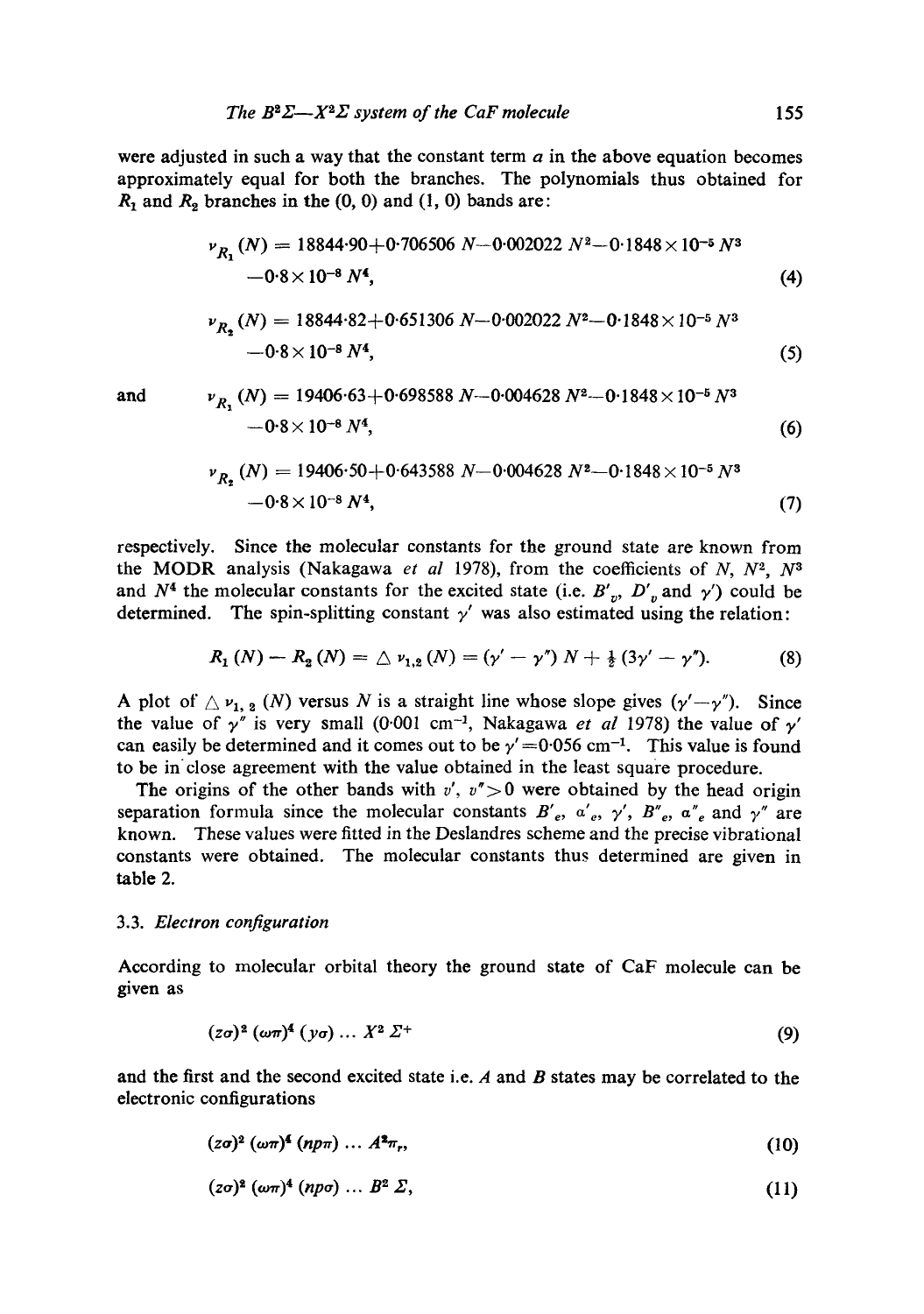were adjusted in such a way that the constant term  $a$  in the above equation becomes approximately equal for both the branches. The polynomials thus obtained for  $R_1$  and  $R_2$  branches in the  $(0, 0)$  and  $(1, 0)$  bands are:

$$
\nu_{R_1}(N) = 18844.90 + 0.706506 N - 0.002022 N^2 - 0.1848 \times 10^{-5} N^3
$$
  
-0.8×10<sup>-8</sup> N<sup>4</sup>, (4)

$$
\nu_{R_2}(N) = 18844.82 + 0.651306 N - 0.002022 N^2 - 0.1848 \times 10^{-5} N^3
$$
  
-0.8×10<sup>-8</sup> N<sup>4</sup>, (5)

and 
$$
v_{R_1}(N) = 19406.63 + 0.698588 N - 0.004628 N^2 - 0.1848 \times 10^{-5} N^3
$$
  
-0.8×10<sup>-8</sup> N<sup>4</sup>, (6)

$$
\nu_{R_2}(N) = 19406.50 + 0.643588 N - 0.004628 N^2 - 0.1848 \times 10^{-5} N^3
$$
  
-0.8×10<sup>-8</sup> N<sup>4</sup>, (7)

respectively. Since the molecular constants for the ground state are known from the MODR analysis (Nakagawa *et al* 1978), from the coefficients of N, N<sup>2</sup>, N<sup>3</sup> and  $N<sup>4</sup>$  the molecular constants for the excited state (i.e.  $B'_{v}$ ,  $D'_{v}$  and  $\gamma'$ ) could be determined. The spin-splitting constant  $\gamma'$  was also estimated using the relation:

$$
R_1(N) - R_2(N) = \triangle \nu_{1,2}(N) = (\gamma' - \gamma'') N + \frac{1}{2} (3\gamma' - \gamma''). \tag{8}
$$

A plot of  $\triangle \nu_1$ ,  $_2$  (N) versus N is a straight line whose slope gives  $(\gamma' - \gamma'')$ . Since the value of  $\gamma''$  is very small (0.001 cm<sup>-1</sup>, Nakagawa *et al* 1978) the value of  $\gamma'$ can easily be determined and it comes out to be  $\gamma' = 0.056$  cm<sup>-1</sup>. This value is found to be in close agreement with the value obtained in the least square procedure.

The origins of the other bands with  $v'$ ,  $v'' > 0$  were obtained by the head origin separation formula since the molecular constants  $B'_e$ ,  $a'_e$ ,  $\gamma'$ ,  $B''_e$ ,  $a''_e$  and  $\gamma''$  are known. These values were fitted in the Deslandres scheme and the precise vibrational constants were obtained. The molecular constants thus determined are given in table 2.

# 3.3. *Electron configuration*

According to molecular orbital theory the ground state of CaF molecule can be given as

$$
(z\sigma)^2 \left(\omega \pi\right)^4 \left(y\sigma\right) \ldots X^2 \varSigma^+ \tag{9}
$$

and the first and the second excited state i.e.  $A$  and  $B$  states may be correlated to the electronic configurations

$$
(z\sigma)^2 \left(\omega \pi\right)^4 \left(n p \pi\right) \ldots A^2 \pi_r,\tag{10}
$$

$$
(z\sigma)^2 \left(\omega \pi\right)^4 \left(n p \sigma\right) \ldots B^2 \Sigma, \tag{11}
$$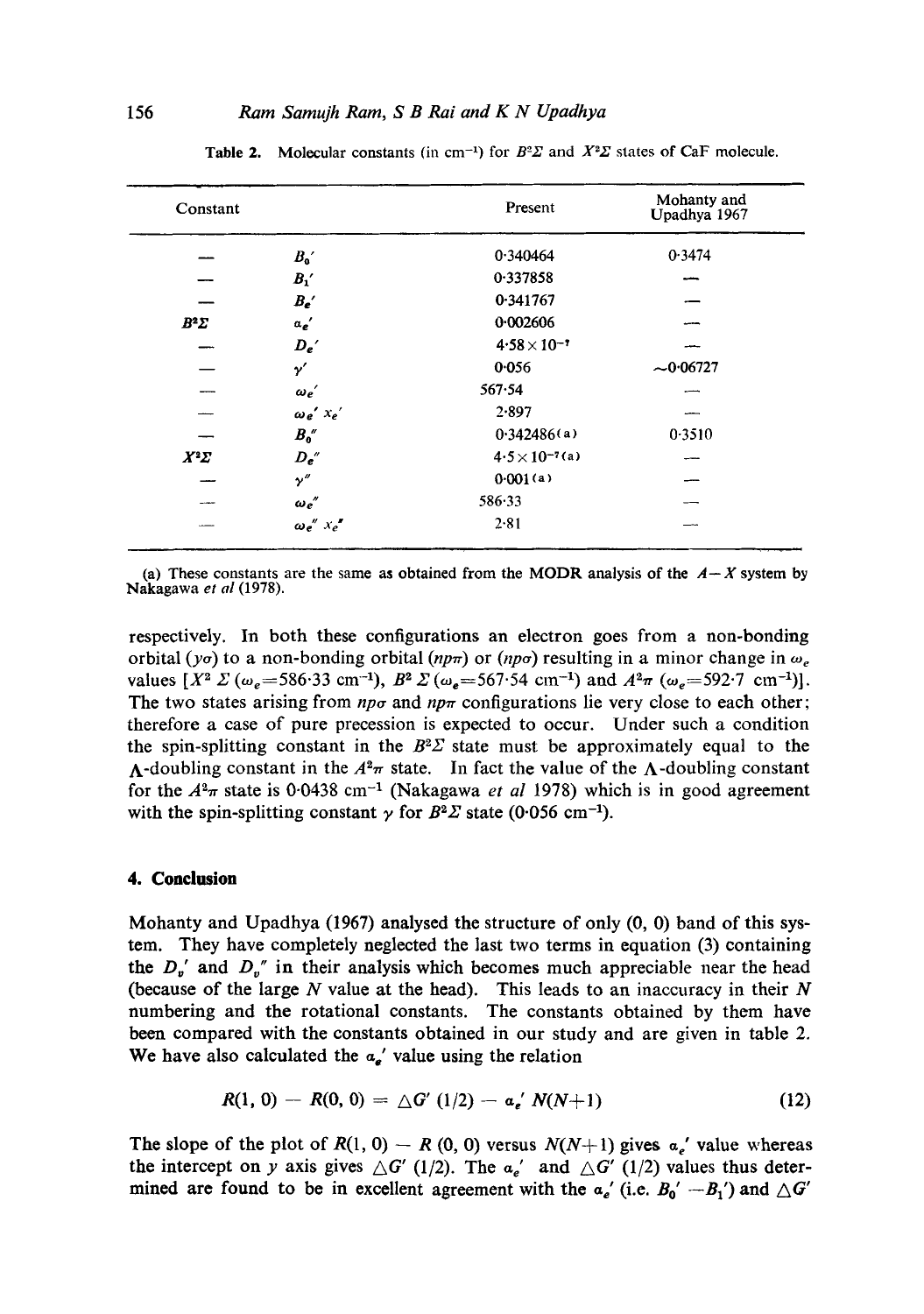| Constant    |                     | Present                  | Mohanty and<br>Upadhya 1967 |
|-------------|---------------------|--------------------------|-----------------------------|
|             | $B_{\rm o}{}'$      | 0.340464                 | 0.3474                      |
|             | $B_{1}'$            | 0.337858                 |                             |
|             | $B_{e}$             | 0.341767                 |                             |
| $B^2\Sigma$ | $a_e'$              | 0.002606                 |                             |
|             | $D_{e}$             | $4.58 \times 10^{-7}$    |                             |
|             | $\gamma'$           | 0.056                    | $-0.06727$                  |
|             | $\omega_e'$         | 567.54                   |                             |
|             | $\omega_e'$ $x_e'$  | 2.897                    |                             |
| __          | $B_0''$             | 0.342486(a)              | 0.3510                      |
| $X^2\Sigma$ | $D_{e}$ "           | $4.5 \times 10^{-7}$ (a) |                             |
|             | $\gamma''$          | 0.001(a)                 |                             |
|             | $\omega_e$ "        | 586.33                   |                             |
|             | $\omega e''$ $Xe''$ | 2.81                     |                             |

Table 2. Molecular constants (in cm<sup>-1</sup>) for  $B^2\Sigma$  and  $X^2\Sigma$  states of CaF molecule.

(a) These constants are the same as obtained from the MODR analysis of the  $A-X$  system by Nakagawa *et al* (1978).

respectively. In both these configurations an electron goes from a non-bonding orbital (yo) to a non-bonding orbital  $(np\pi)$  or  $(np\sigma)$  resulting in a minor change in  $\omega_e$ values  $[X^2 \Sigma (\omega_e = 586.33 \text{ cm}^{-1}), B^2 \Sigma (\omega_e = 567.54 \text{ cm}^{-1})$  and  $A^2\pi (\omega_e = 592.7 \text{ cm}^{-1})$ . The two states arising from  $np\sigma$  and  $np\pi$  configurations lie very close to each other; therefore a case of pure precession is expected to occur. Under such a condition the spin-splitting constant in the  $B^2\Sigma$  state must be approximately equal to the A-doubling constant in the  $A^2\pi$  state. In fact the value of the A-doubling constant for the  $A^2\pi$  state is 0.0438 cm<sup>-1</sup> (Nakagawa *et al* 1978) which is in good agreement with the spin-splitting constant  $\gamma$  for  $B^2\Sigma$  state (0.056 cm<sup>-1</sup>).

## **4. Conclusion**

Mohanty and Upadhya (1967) analysed the structure of only (0, 0) band of this system. They have completely neglected the last two terms in equation (3) containing the  $D_{\nu}$ ' and  $D_{\nu}$ " in their analysis which becomes much appreciable near the head (because of the large  $N$  value at the head). This leads to an inaccuracy in their  $N$ numbering and the rotational constants. The constants obtained by them have been compared with the constants obtained in our study and are given in table 2. We have also calculated the  $a_{\epsilon}$ ' value using the relation

$$
R(1, 0) - R(0, 0) = \triangle G' (1/2) - a_e' N(N+1)
$$
 (12)

The slope of the plot of  $R(1, 0) - R(0, 0)$  versus  $N(N+1)$  gives  $a_n'$  value whereas the intercept on y axis gives  $\Delta G'$  (1/2). The  $a_e'$  and  $\Delta G'$  (1/2) values thus determined are found to be in excellent agreement with the  $a_e'$  (i.e.  $B_0' - B_1'$ ) and  $\Delta G'$